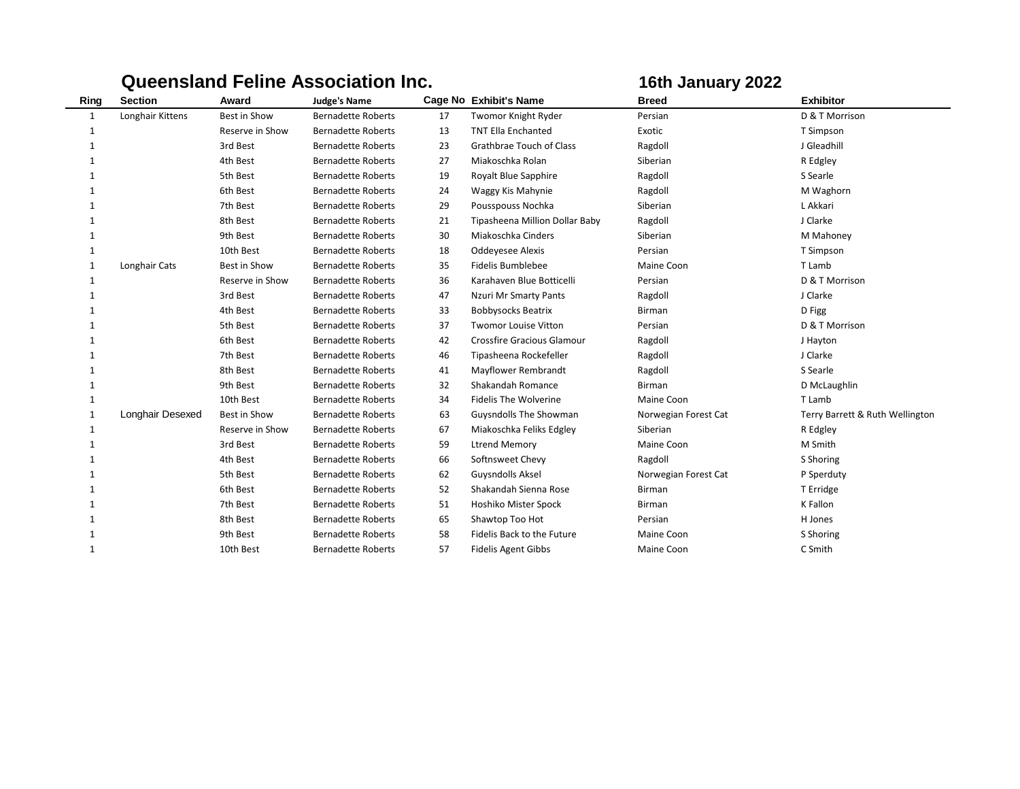|              |                  |                 | <b>Queensland Feline Association Inc.</b> |    | 16th January 2022                 |                      |                                 |
|--------------|------------------|-----------------|-------------------------------------------|----|-----------------------------------|----------------------|---------------------------------|
| Ring         | <b>Section</b>   | Award           | <b>Judge's Name</b>                       |    | Cage No Exhibit's Name            | <b>Breed</b>         | <b>Exhibitor</b>                |
| 1            | Longhair Kittens | Best in Show    | <b>Bernadette Roberts</b>                 | 17 | <b>Twomor Knight Ryder</b>        | Persian              | D & T Morrison                  |
| 1            |                  | Reserve in Show | <b>Bernadette Roberts</b>                 | 13 | <b>TNT Ella Enchanted</b>         | Exotic               | T Simpson                       |
| -1           |                  | 3rd Best        | <b>Bernadette Roberts</b>                 | 23 | <b>Grathbrae Touch of Class</b>   | Ragdoll              | J Gleadhill                     |
| 1            |                  | 4th Best        | <b>Bernadette Roberts</b>                 | 27 | Miakoschka Rolan                  | Siberian             | R Edgley                        |
| 1            |                  | 5th Best        | <b>Bernadette Roberts</b>                 | 19 | Royalt Blue Sapphire              | Ragdoll              | S Searle                        |
|              |                  | 6th Best        | <b>Bernadette Roberts</b>                 | 24 | Waggy Kis Mahynie                 | Ragdoll              | M Waghorn                       |
|              |                  | 7th Best        | <b>Bernadette Roberts</b>                 | 29 | Pousspouss Nochka                 | Siberian             | L Akkari                        |
| 1            |                  | 8th Best        | <b>Bernadette Roberts</b>                 | 21 | Tipasheena Million Dollar Baby    | Ragdoll              | J Clarke                        |
|              |                  | 9th Best        | <b>Bernadette Roberts</b>                 | 30 | Miakoschka Cinders                | Siberian             | M Mahoney                       |
| 1            |                  | 10th Best       | <b>Bernadette Roberts</b>                 | 18 | Oddeyesee Alexis                  | Persian              | T Simpson                       |
| 1            | Longhair Cats    | Best in Show    | <b>Bernadette Roberts</b>                 | 35 | Fidelis Bumblebee                 | Maine Coon           | T Lamb                          |
|              |                  | Reserve in Show | <b>Bernadette Roberts</b>                 | 36 | Karahaven Blue Botticelli         | Persian              | D & T Morrison                  |
|              |                  | 3rd Best        | <b>Bernadette Roberts</b>                 | 47 | Nzuri Mr Smarty Pants             | Ragdoll              | J Clarke                        |
|              |                  | 4th Best        | <b>Bernadette Roberts</b>                 | 33 | <b>Bobbysocks Beatrix</b>         | <b>Birman</b>        | D Figg                          |
|              |                  | 5th Best        | <b>Bernadette Roberts</b>                 | 37 | <b>Twomor Louise Vitton</b>       | Persian              | D & T Morrison                  |
|              |                  | 6th Best        | <b>Bernadette Roberts</b>                 | 42 | <b>Crossfire Gracious Glamour</b> | Ragdoll              | J Hayton                        |
|              |                  | 7th Best        | <b>Bernadette Roberts</b>                 | 46 | Tipasheena Rockefeller            | Ragdoll              | J Clarke                        |
| 1            |                  | 8th Best        | <b>Bernadette Roberts</b>                 | 41 | Mayflower Rembrandt               | Ragdoll              | S Searle                        |
|              |                  | 9th Best        | <b>Bernadette Roberts</b>                 | 32 | Shakandah Romance                 | <b>Birman</b>        | D McLaughlin                    |
| 1            |                  | 10th Best       | <b>Bernadette Roberts</b>                 | 34 | <b>Fidelis The Wolverine</b>      | Maine Coon           | T Lamb                          |
| $\mathbf{1}$ | Longhair Desexed | Best in Show    | <b>Bernadette Roberts</b>                 | 63 | Guysndolls The Showman            | Norwegian Forest Cat | Terry Barrett & Ruth Wellington |
| 1            |                  | Reserve in Show | <b>Bernadette Roberts</b>                 | 67 | Miakoschka Feliks Edgley          | Siberian             | R Edgley                        |
|              |                  | 3rd Best        | <b>Bernadette Roberts</b>                 | 59 | <b>Ltrend Memory</b>              | Maine Coon           | M Smith                         |
| 1            |                  | 4th Best        | <b>Bernadette Roberts</b>                 | 66 | Softnsweet Chevy                  | Ragdoll              | S Shoring                       |
|              |                  | 5th Best        | <b>Bernadette Roberts</b>                 | 62 | <b>Guysndolls Aksel</b>           | Norwegian Forest Cat | P Sperduty                      |
|              |                  | 6th Best        | <b>Bernadette Roberts</b>                 | 52 | Shakandah Sienna Rose             | <b>Birman</b>        | T Erridge                       |
|              |                  | 7th Best        | <b>Bernadette Roberts</b>                 | 51 | Hoshiko Mister Spock              | <b>Birman</b>        | K Fallon                        |
|              |                  | 8th Best        | <b>Bernadette Roberts</b>                 | 65 | Shawtop Too Hot                   | Persian              | H Jones                         |
|              |                  | 9th Best        | <b>Bernadette Roberts</b>                 | 58 | Fidelis Back to the Future        | Maine Coon           | S Shoring                       |
| 1            |                  | 10th Best       | <b>Bernadette Roberts</b>                 | 57 | <b>Fidelis Agent Gibbs</b>        | Maine Coon           | C Smith                         |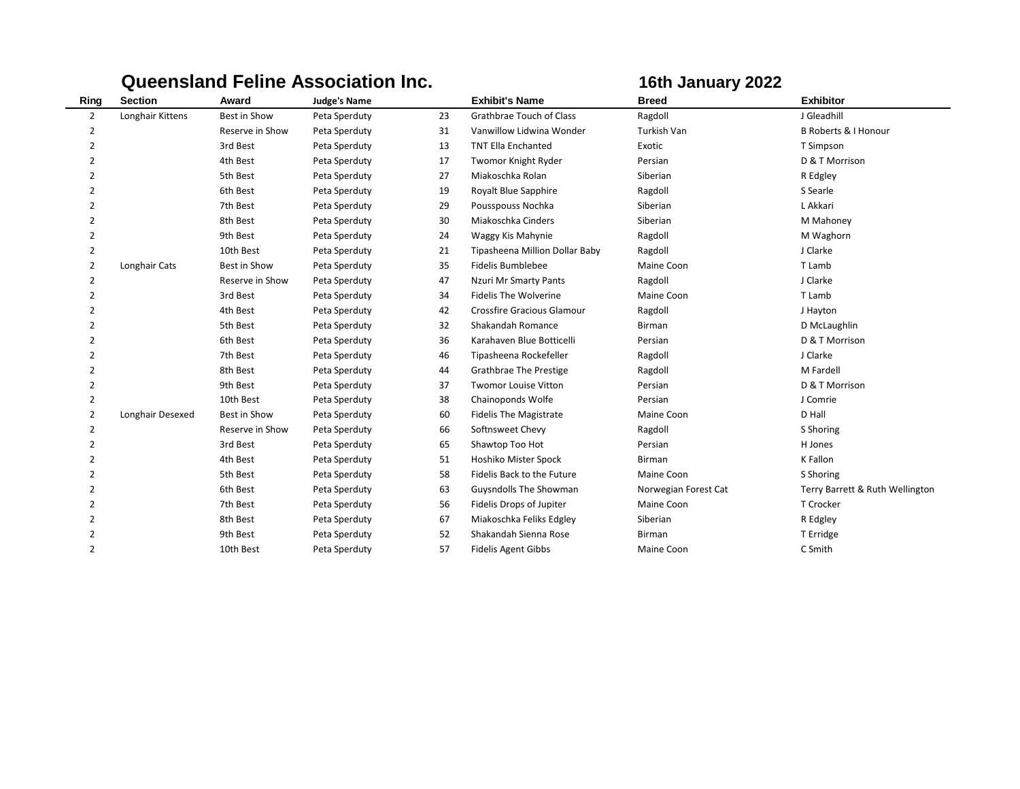|                |                  |                 | <b>Queensland Feline Association Inc.</b> |    |                                   | 16th January 2022    |                                 |
|----------------|------------------|-----------------|-------------------------------------------|----|-----------------------------------|----------------------|---------------------------------|
| Ring           | <b>Section</b>   | Award           | <b>Judge's Name</b>                       |    | <b>Exhibit's Name</b>             | <b>Breed</b>         | <b>Exhibitor</b>                |
| 2              | Longhair Kittens | Best in Show    | Peta Sperduty                             | 23 | <b>Grathbrae Touch of Class</b>   | Ragdoll              | J Gleadhill                     |
| 2              |                  | Reserve in Show | Peta Sperduty                             | 31 | Vanwillow Lidwina Wonder          | <b>Turkish Van</b>   | <b>B Roberts &amp; I Honour</b> |
| $\overline{2}$ |                  | 3rd Best        | Peta Sperduty                             | 13 | <b>TNT Ella Enchanted</b>         | Exotic               | T Simpson                       |
| $\overline{2}$ |                  | 4th Best        | Peta Sperduty                             | 17 | Twomor Knight Ryder               | Persian              | D & T Morrison                  |
| $\overline{2}$ |                  | 5th Best        | Peta Sperduty                             | 27 | Miakoschka Rolan                  | Siberian             | R Edgley                        |
| 2              |                  | 6th Best        | Peta Sperduty                             | 19 | Royalt Blue Sapphire              | Ragdoll              | S Searle                        |
| $\overline{2}$ |                  | 7th Best        | Peta Sperduty                             | 29 | Pousspouss Nochka                 | Siberian             | L Akkari                        |
| $\overline{2}$ |                  | 8th Best        | Peta Sperduty                             | 30 | Miakoschka Cinders                | Siberian             | M Mahoney                       |
| $\overline{2}$ |                  | 9th Best        | Peta Sperduty                             | 24 | Waggy Kis Mahynie                 | Ragdoll              | M Waghorn                       |
| $\overline{2}$ |                  | 10th Best       | Peta Sperduty                             | 21 | Tipasheena Million Dollar Baby    | Ragdoll              | J Clarke                        |
| 2              | Longhair Cats    | Best in Show    | Peta Sperduty                             | 35 | Fidelis Bumblebee                 | Maine Coon           | T Lamb                          |
| 2              |                  | Reserve in Show | Peta Sperduty                             | 47 | Nzuri Mr Smarty Pants             | Ragdoll              | J Clarke                        |
| 2              |                  | 3rd Best        | Peta Sperduty                             | 34 | <b>Fidelis The Wolverine</b>      | Maine Coon           | T Lamb                          |
| $\overline{2}$ |                  | 4th Best        | Peta Sperduty                             | 42 | <b>Crossfire Gracious Glamour</b> | Ragdoll              | J Hayton                        |
| 2              |                  | 5th Best        | Peta Sperduty                             | 32 | Shakandah Romance                 | <b>Birman</b>        | D McLaughlin                    |
| $\overline{2}$ |                  | 6th Best        | Peta Sperduty                             | 36 | Karahaven Blue Botticelli         | Persian              | D & T Morrison                  |
| $\overline{2}$ |                  | 7th Best        | Peta Sperduty                             | 46 | Tipasheena Rockefeller            | Ragdoll              | J Clarke                        |
| $\overline{2}$ |                  | 8th Best        | Peta Sperduty                             | 44 | <b>Grathbrae The Prestige</b>     | Ragdoll              | M Fardell                       |
| $\overline{2}$ |                  | 9th Best        | Peta Sperduty                             | 37 | <b>Twomor Louise Vitton</b>       | Persian              | D & T Morrison                  |
| 2              |                  | 10th Best       | Peta Sperduty                             | 38 | Chainoponds Wolfe                 | Persian              | J Comrie                        |
| $\overline{2}$ | Longhair Desexed | Best in Show    | Peta Sperduty                             | 60 | <b>Fidelis The Magistrate</b>     | Maine Coon           | D Hall                          |
| 2              |                  | Reserve in Show | Peta Sperduty                             | 66 | Softnsweet Chevy                  | Ragdoll              | S Shoring                       |
| $\overline{2}$ |                  | 3rd Best        | Peta Sperduty                             | 65 | Shawtop Too Hot                   | Persian              | H Jones                         |
| 2              |                  | 4th Best        | Peta Sperduty                             | 51 | Hoshiko Mister Spock              | <b>Birman</b>        | K Fallon                        |
| 2              |                  | 5th Best        | Peta Sperduty                             | 58 | Fidelis Back to the Future        | Maine Coon           | S Shoring                       |
| $\overline{2}$ |                  | 6th Best        | Peta Sperduty                             | 63 | <b>Guysndolls The Showman</b>     | Norwegian Forest Cat | Terry Barrett & Ruth Wellington |
| $\overline{2}$ |                  | 7th Best        | Peta Sperduty                             | 56 | Fidelis Drops of Jupiter          | Maine Coon           | T Crocker                       |
| 2              |                  | 8th Best        | Peta Sperduty                             | 67 | Miakoschka Feliks Edgley          | Siberian             | R Edgley                        |
| 2              |                  | 9th Best        | Peta Sperduty                             | 52 | Shakandah Sienna Rose             | Birman               | T Erridge                       |
| $\overline{2}$ |                  | 10th Best       | Peta Sperduty                             | 57 | <b>Fidelis Agent Gibbs</b>        | Maine Coon           | C Smith                         |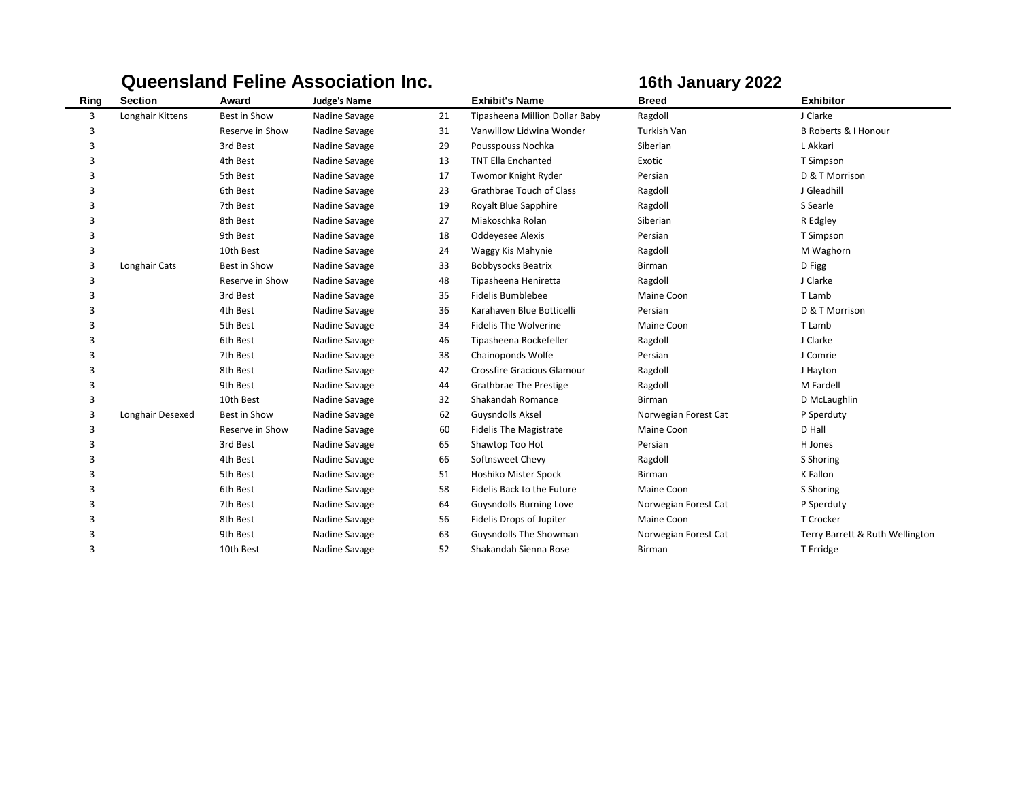|      |                  |                 | <b>Queensland Feline Association Inc.</b> |    |                                   | 16th January 2022    |                                 |
|------|------------------|-----------------|-------------------------------------------|----|-----------------------------------|----------------------|---------------------------------|
| Ring | <b>Section</b>   | Award           | <b>Judge's Name</b>                       |    | <b>Exhibit's Name</b>             | <b>Breed</b>         | <b>Exhibitor</b>                |
| 3    | Longhair Kittens | Best in Show    | Nadine Savage                             | 21 | Tipasheena Million Dollar Baby    | Ragdoll              | J Clarke                        |
| 3    |                  | Reserve in Show | Nadine Savage                             | 31 | Vanwillow Lidwina Wonder          | Turkish Van          | <b>B Roberts &amp; I Honour</b> |
| 3    |                  | 3rd Best        | Nadine Savage                             | 29 | Pousspouss Nochka                 | Siberian             | L Akkari                        |
| 3    |                  | 4th Best        | Nadine Savage                             | 13 | <b>TNT Ella Enchanted</b>         | Exotic               | T Simpson                       |
| 3    |                  | 5th Best        | Nadine Savage                             | 17 | Twomor Knight Ryder               | Persian              | D & T Morrison                  |
| 3    |                  | 6th Best        | Nadine Savage                             | 23 | Grathbrae Touch of Class          | Ragdoll              | J Gleadhill                     |
| 3    |                  | 7th Best        | Nadine Savage                             | 19 | <b>Royalt Blue Sapphire</b>       | Ragdoll              | S Searle                        |
| 3    |                  | 8th Best        | Nadine Savage                             | 27 | Miakoschka Rolan                  | Siberian             | R Edgley                        |
| 3    |                  | 9th Best        | Nadine Savage                             | 18 | <b>Oddevesee Alexis</b>           | Persian              | T Simpson                       |
| 3    |                  | 10th Best       | Nadine Savage                             | 24 | Waggy Kis Mahynie                 | Ragdoll              | M Waghorn                       |
| 3    | Longhair Cats    | Best in Show    | Nadine Savage                             | 33 | <b>Bobbysocks Beatrix</b>         | <b>Birman</b>        | D Figg                          |
| 3    |                  | Reserve in Show | Nadine Savage                             | 48 | Tipasheena Heniretta              | Ragdoll              | J Clarke                        |
| 3    |                  | 3rd Best        | Nadine Savage                             | 35 | <b>Fidelis Bumblebee</b>          | Maine Coon           | T Lamb                          |
| 3    |                  | 4th Best        | Nadine Savage                             | 36 | Karahaven Blue Botticelli         | Persian              | D & T Morrison                  |
| 3    |                  | 5th Best        | Nadine Savage                             | 34 | <b>Fidelis The Wolverine</b>      | Maine Coon           | T Lamb                          |
| 3    |                  | 6th Best        | Nadine Savage                             | 46 | Tipasheena Rockefeller            | Ragdoll              | J Clarke                        |
| 3    |                  | 7th Best        | Nadine Savage                             | 38 | Chainoponds Wolfe                 | Persian              | J Comrie                        |
| 3    |                  | 8th Best        | Nadine Savage                             | 42 | <b>Crossfire Gracious Glamour</b> | Ragdoll              | J Hayton                        |
| 3    |                  | 9th Best        | Nadine Savage                             | 44 | <b>Grathbrae The Prestige</b>     | Ragdoll              | M Fardell                       |
| 3    |                  | 10th Best       | Nadine Savage                             | 32 | Shakandah Romance                 | <b>Birman</b>        | D McLaughlin                    |
| 3    | Longhair Desexed | Best in Show    | Nadine Savage                             | 62 | <b>Guysndolls Aksel</b>           | Norwegian Forest Cat | P Sperduty                      |
| 3    |                  | Reserve in Show | Nadine Savage                             | 60 | <b>Fidelis The Magistrate</b>     | Maine Coon           | D Hall                          |
| 3    |                  | 3rd Best        | Nadine Savage                             | 65 | Shawtop Too Hot                   | Persian              | H Jones                         |
| 3    |                  | 4th Best        | Nadine Savage                             | 66 | Softnsweet Chevy                  | Ragdoll              | S Shoring                       |
| 3    |                  | 5th Best        | Nadine Savage                             | 51 | Hoshiko Mister Spock              | <b>Birman</b>        | K Fallon                        |
| 3    |                  | 6th Best        | Nadine Savage                             | 58 | Fidelis Back to the Future        | Maine Coon           | S Shoring                       |
| 3    |                  | 7th Best        | Nadine Savage                             | 64 | <b>Guysndolls Burning Love</b>    | Norwegian Forest Cat | P Sperduty                      |
| 3    |                  | 8th Best        | Nadine Savage                             | 56 | Fidelis Drops of Jupiter          | Maine Coon           | T Crocker                       |
| 3    |                  | 9th Best        | Nadine Savage                             | 63 | Guysndolls The Showman            | Norwegian Forest Cat | Terry Barrett & Ruth Wellington |
| 3    |                  | 10th Best       | Nadine Savage                             | 52 | Shakandah Sienna Rose             | Birman               | T Erridge                       |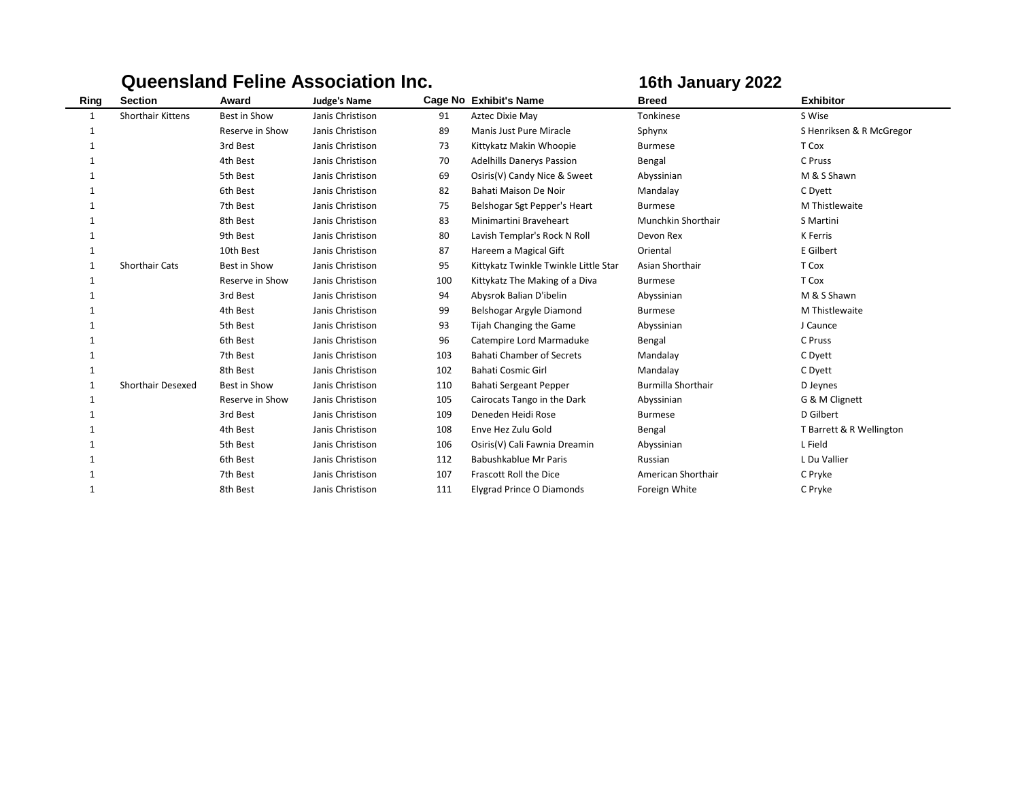|      |                          |                 | QUUUNGIN I UMIU AJJUURIUM MU. |     | IVUI VANGUI J LULL                    |                           |                          |  |
|------|--------------------------|-----------------|-------------------------------|-----|---------------------------------------|---------------------------|--------------------------|--|
| Ring | <b>Section</b>           | Award           | <b>Judge's Name</b>           |     | Cage No Exhibit's Name                | <b>Breed</b>              | <b>Exhibitor</b>         |  |
| 1    | <b>Shorthair Kittens</b> | Best in Show    | Janis Christison              | 91  | Aztec Dixie May                       | Tonkinese                 | S Wise                   |  |
|      |                          | Reserve in Show | Janis Christison              | 89  | Manis Just Pure Miracle               | Sphynx                    | S Henriksen & R McGregor |  |
|      |                          | 3rd Best        | Janis Christison              | 73  | Kittykatz Makin Whoopie               | <b>Burmese</b>            | T Cox                    |  |
|      |                          | 4th Best        | Janis Christison              | 70  | <b>Adelhills Danerys Passion</b>      | Bengal                    | C Pruss                  |  |
|      |                          | 5th Best        | Janis Christison              | 69  | Osiris(V) Candy Nice & Sweet          | Abyssinian                | M & S Shawn              |  |
|      |                          | 6th Best        | Janis Christison              | 82  | Bahati Maison De Noir                 | Mandalay                  | C Dyett                  |  |
|      |                          | 7th Best        | Janis Christison              | 75  | Belshogar Sgt Pepper's Heart          | <b>Burmese</b>            | M Thistlewaite           |  |
|      |                          | 8th Best        | Janis Christison              | 83  | Minimartini Braveheart                | Munchkin Shorthair        | S Martini                |  |
|      |                          | 9th Best        | Janis Christison              | 80  | Lavish Templar's Rock N Roll          | Devon Rex                 | K Ferris                 |  |
|      |                          | 10th Best       | Janis Christison              | 87  | Hareem a Magical Gift                 | Oriental                  | E Gilbert                |  |
|      | <b>Shorthair Cats</b>    | Best in Show    | Janis Christison              | 95  | Kittykatz Twinkle Twinkle Little Star | Asian Shorthair           | T Cox                    |  |
|      |                          | Reserve in Show | Janis Christison              | 100 | Kittykatz The Making of a Diva        | <b>Burmese</b>            | T Cox                    |  |
|      |                          | 3rd Best        | Janis Christison              | 94  | Abysrok Balian D'ibelin               | Abyssinian                | M & S Shawn              |  |
|      |                          | 4th Best        | Janis Christison              | 99  | Belshogar Argyle Diamond              | <b>Burmese</b>            | M Thistlewaite           |  |
|      |                          | 5th Best        | Janis Christison              | 93  | Tijah Changing the Game               | Abyssinian                | J Caunce                 |  |
|      |                          | 6th Best        | Janis Christison              | 96  | Catempire Lord Marmaduke              | Bengal                    | C Pruss                  |  |
|      |                          | 7th Best        | Janis Christison              | 103 | <b>Bahati Chamber of Secrets</b>      | Mandalay                  | C Dyett                  |  |
|      |                          | 8th Best        | Janis Christison              | 102 | <b>Bahati Cosmic Girl</b>             | Mandalay                  | C Dyett                  |  |
|      | <b>Shorthair Desexed</b> | Best in Show    | Janis Christison              | 110 | Bahati Sergeant Pepper                | <b>Burmilla Shorthair</b> | D Jeynes                 |  |
|      |                          | Reserve in Show | Janis Christison              | 105 | Cairocats Tango in the Dark           | Abyssinian                | G & M Clignett           |  |
|      |                          | 3rd Best        | Janis Christison              | 109 | Deneden Heidi Rose                    | <b>Burmese</b>            | D Gilbert                |  |
|      |                          | 4th Best        | Janis Christison              | 108 | Enve Hez Zulu Gold                    | Bengal                    | T Barrett & R Wellington |  |
|      |                          | 5th Best        | Janis Christison              | 106 | Osiris(V) Cali Fawnia Dreamin         | Abyssinian                | L Field                  |  |
|      |                          | 6th Best        | Janis Christison              | 112 | Babushkablue Mr Paris                 | Russian                   | L Du Vallier             |  |
|      |                          | 7th Best        | Janis Christison              | 107 | Frascott Roll the Dice                | American Shorthair        | C Pryke                  |  |
|      |                          | 8th Best        | Janis Christison              | 111 | <b>Elygrad Prince O Diamonds</b>      | Foreign White             | C Pryke                  |  |

## **Queensland Feline Association Inc. 16th January 2022**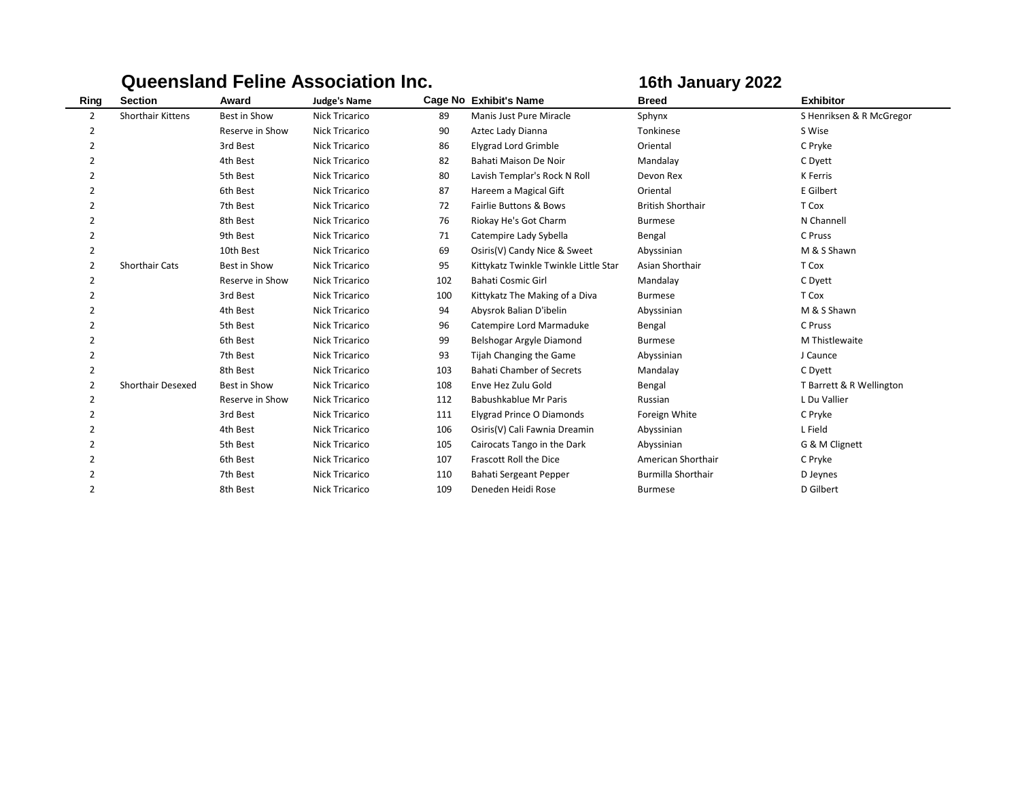|                |                          |                 | <b>Queensland Feline Association Inc.</b> | 16th January 2022 |                                       |                           |                          |
|----------------|--------------------------|-----------------|-------------------------------------------|-------------------|---------------------------------------|---------------------------|--------------------------|
| Ring           | <b>Section</b>           | Award           | <b>Judge's Name</b>                       |                   | Cage No Exhibit's Name                | <b>Breed</b>              | <b>Exhibitor</b>         |
| $\overline{2}$ | <b>Shorthair Kittens</b> | Best in Show    | <b>Nick Tricarico</b>                     | 89                | Manis Just Pure Miracle               | Sphynx                    | S Henriksen & R McGregor |
| 2              |                          | Reserve in Show | <b>Nick Tricarico</b>                     | 90                | Aztec Lady Dianna                     | Tonkinese                 | S Wise                   |
| $\overline{2}$ |                          | 3rd Best        | <b>Nick Tricarico</b>                     | 86                | <b>Elygrad Lord Grimble</b>           | Oriental                  | C Pryke                  |
| $\overline{2}$ |                          | 4th Best        | <b>Nick Tricarico</b>                     | 82                | Bahati Maison De Noir                 | Mandalay                  | C Dyett                  |
| $\overline{2}$ |                          | 5th Best        | <b>Nick Tricarico</b>                     | 80                | Lavish Templar's Rock N Roll          | Devon Rex                 | K Ferris                 |
| 2              |                          | 6th Best        | <b>Nick Tricarico</b>                     | 87                | Hareem a Magical Gift                 | Oriental                  | E Gilbert                |
| 2              |                          | 7th Best        | <b>Nick Tricarico</b>                     | 72                | <b>Fairlie Buttons &amp; Bows</b>     | <b>British Shorthair</b>  | T Cox                    |
| $\overline{2}$ |                          | 8th Best        | <b>Nick Tricarico</b>                     | 76                | Riokay He's Got Charm                 | <b>Burmese</b>            | N Channell               |
| $\overline{2}$ |                          | 9th Best        | <b>Nick Tricarico</b>                     | 71                | Catempire Lady Sybella                | Bengal                    | C Pruss                  |
| 2              |                          | 10th Best       | <b>Nick Tricarico</b>                     | 69                | Osiris(V) Candy Nice & Sweet          | Abyssinian                | M & S Shawn              |
| 2              | <b>Shorthair Cats</b>    | Best in Show    | <b>Nick Tricarico</b>                     | 95                | Kittykatz Twinkle Twinkle Little Star | Asian Shorthair           | T Cox                    |
| 2              |                          | Reserve in Show | <b>Nick Tricarico</b>                     | 102               | Bahati Cosmic Girl                    | Mandalay                  | C Dyett                  |
| 2              |                          | 3rd Best        | <b>Nick Tricarico</b>                     | 100               | Kittykatz The Making of a Diva        | <b>Burmese</b>            | T Cox                    |
| 2              |                          | 4th Best        | <b>Nick Tricarico</b>                     | 94                | Abysrok Balian D'ibelin               | Abyssinian                | M & S Shawn              |
| 2              |                          | 5th Best        | <b>Nick Tricarico</b>                     | 96                | Catempire Lord Marmaduke              | Bengal                    | C Pruss                  |
| 2              |                          | 6th Best        | <b>Nick Tricarico</b>                     | 99                | Belshogar Argyle Diamond              | <b>Burmese</b>            | M Thistlewaite           |
| $\overline{2}$ |                          | 7th Best        | <b>Nick Tricarico</b>                     | 93                | Tijah Changing the Game               | Abyssinian                | J Caunce                 |
| $\overline{2}$ |                          | 8th Best        | Nick Tricarico                            | 103               | <b>Bahati Chamber of Secrets</b>      | Mandalay                  | C Dyett                  |
| 2              | <b>Shorthair Desexed</b> | Best in Show    | <b>Nick Tricarico</b>                     | 108               | Enve Hez Zulu Gold                    | Bengal                    | T Barrett & R Wellington |
| $\overline{2}$ |                          | Reserve in Show | <b>Nick Tricarico</b>                     | 112               | Babushkablue Mr Paris                 | Russian                   | L Du Vallier             |
| 2              |                          | 3rd Best        | <b>Nick Tricarico</b>                     | 111               | Elygrad Prince O Diamonds             | Foreign White             | C Pryke                  |
| $\overline{2}$ |                          | 4th Best        | <b>Nick Tricarico</b>                     | 106               | Osiris(V) Cali Fawnia Dreamin         | Abyssinian                | L Field                  |
| 2              |                          | 5th Best        | <b>Nick Tricarico</b>                     | 105               | Cairocats Tango in the Dark           | Abyssinian                | G & M Clignett           |
| $\overline{2}$ |                          | 6th Best        | <b>Nick Tricarico</b>                     | 107               | Frascott Roll the Dice                | American Shorthair        | C Pryke                  |
| $\overline{2}$ |                          | 7th Best        | <b>Nick Tricarico</b>                     | 110               | Bahati Sergeant Pepper                | <b>Burmilla Shorthair</b> | D Jeynes                 |
| $\overline{2}$ |                          | 8th Best        | <b>Nick Tricarico</b>                     | 109               | Deneden Heidi Rose                    | <b>Burmese</b>            | D Gilbert                |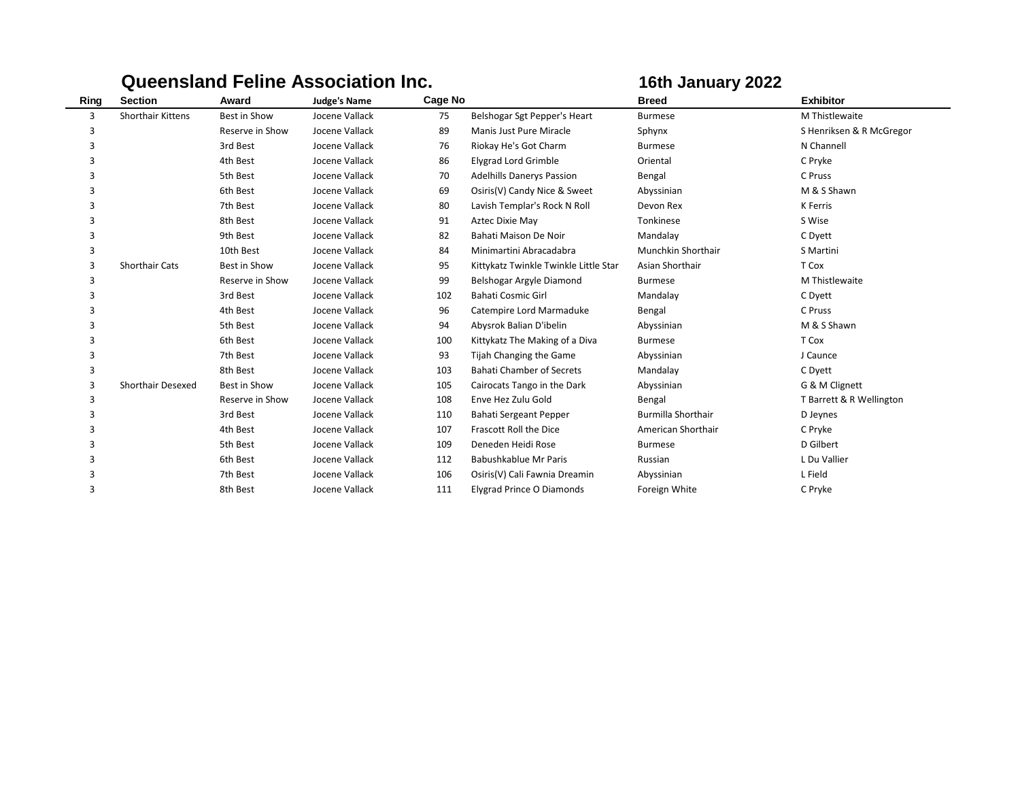|      |                          |                 | <b>Queensland Feline Association Inc.</b> |         | 16th January 2022                     |                           |                          |
|------|--------------------------|-----------------|-------------------------------------------|---------|---------------------------------------|---------------------------|--------------------------|
| Ring | <b>Section</b>           | Award           | <b>Judge's Name</b>                       | Cage No |                                       | <b>Breed</b>              | <b>Exhibitor</b>         |
| 3    | <b>Shorthair Kittens</b> | Best in Show    | Jocene Vallack                            | 75      | Belshogar Sgt Pepper's Heart          | <b>Burmese</b>            | M Thistlewaite           |
| 3    |                          | Reserve in Show | Jocene Vallack                            | 89      | Manis Just Pure Miracle               | Sphynx                    | S Henriksen & R McGregor |
| 3    |                          | 3rd Best        | Jocene Vallack                            | 76      | Riokay He's Got Charm                 | <b>Burmese</b>            | N Channell               |
| 3    |                          | 4th Best        | Jocene Vallack                            | 86      | Elygrad Lord Grimble                  | Oriental                  | C Pryke                  |
| 3    |                          | 5th Best        | Jocene Vallack                            | 70      | <b>Adelhills Danerys Passion</b>      | Bengal                    | C Pruss                  |
| 3    |                          | 6th Best        | Jocene Vallack                            | 69      | Osiris(V) Candy Nice & Sweet          | Abyssinian                | M & S Shawn              |
|      |                          | 7th Best        | Jocene Vallack                            | 80      | Lavish Templar's Rock N Roll          | Devon Rex                 | K Ferris                 |
| 3    |                          | 8th Best        | Jocene Vallack                            | 91      | Aztec Dixie May                       | Tonkinese                 | S Wise                   |
| 3    |                          | 9th Best        | Jocene Vallack                            | 82      | Bahati Maison De Noir                 | Mandalay                  | C Dyett                  |
| 3    |                          | 10th Best       | Jocene Vallack                            | 84      | Minimartini Abracadabra               | Munchkin Shorthair        | S Martini                |
| 3    | <b>Shorthair Cats</b>    | Best in Show    | Jocene Vallack                            | 95      | Kittykatz Twinkle Twinkle Little Star | Asian Shorthair           | T Cox                    |
|      |                          | Reserve in Show | Jocene Vallack                            | 99      | Belshogar Argyle Diamond              | <b>Burmese</b>            | M Thistlewaite           |
| 3    |                          | 3rd Best        | Jocene Vallack                            | 102     | Bahati Cosmic Girl                    | Mandalay                  | C Dyett                  |
| 3    |                          | 4th Best        | Jocene Vallack                            | 96      | Catempire Lord Marmaduke              | Bengal                    | C Pruss                  |
| 3    |                          | 5th Best        | Jocene Vallack                            | 94      | Abysrok Balian D'ibelin               | Abyssinian                | M & S Shawn              |
| 3    |                          | 6th Best        | Jocene Vallack                            | 100     | Kittykatz The Making of a Diva        | <b>Burmese</b>            | T Cox                    |
| 3    |                          | 7th Best        | Jocene Vallack                            | 93      | Tijah Changing the Game               | Abyssinian                | J Caunce                 |
| 3    |                          | 8th Best        | Jocene Vallack                            | 103     | <b>Bahati Chamber of Secrets</b>      | Mandalay                  | C Dyett                  |
| 3    | Shorthair Desexed        | Best in Show    | Jocene Vallack                            | 105     | Cairocats Tango in the Dark           | Abyssinian                | G & M Clignett           |
| 3    |                          | Reserve in Show | Jocene Vallack                            | 108     | Enve Hez Zulu Gold                    | Bengal                    | T Barrett & R Wellington |
| 3    |                          | 3rd Best        | Jocene Vallack                            | 110     | Bahati Sergeant Pepper                | <b>Burmilla Shorthair</b> | D Jeynes                 |
| 3    |                          | 4th Best        | Jocene Vallack                            | 107     | Frascott Roll the Dice                | American Shorthair        | C Pryke                  |
| 3    |                          | 5th Best        | Jocene Vallack                            | 109     | Deneden Heidi Rose                    | <b>Burmese</b>            | D Gilbert                |
| 3    |                          | 6th Best        | Jocene Vallack                            | 112     | Babushkablue Mr Paris                 | Russian                   | L Du Vallier             |
| 3    |                          | 7th Best        | Jocene Vallack                            | 106     | Osiris(V) Cali Fawnia Dreamin         | Abyssinian                | L Field                  |
| 3    |                          | 8th Best        | Jocene Vallack                            | 111     | <b>Elygrad Prince O Diamonds</b>      | Foreign White             | C Pryke                  |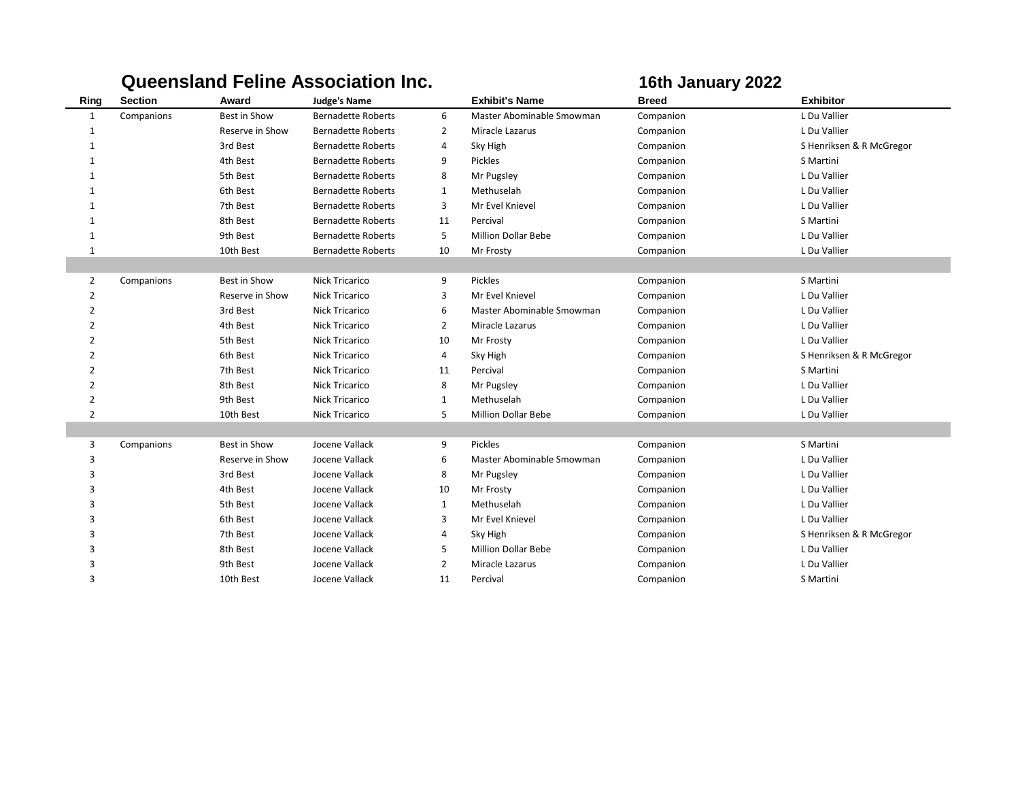|                |                |                 | <b>Queensland Feline Association Inc.</b> |                |                            | 16th January 2022 |                          |  |
|----------------|----------------|-----------------|-------------------------------------------|----------------|----------------------------|-------------------|--------------------------|--|
| Ring           | <b>Section</b> | Award           | <b>Judge's Name</b>                       |                | <b>Exhibit's Name</b>      | <b>Breed</b>      | <b>Exhibitor</b>         |  |
| $\mathbf{1}$   | Companions     | Best in Show    | <b>Bernadette Roberts</b>                 | 6              | Master Abominable Smowman  | Companion         | L Du Vallier             |  |
| 1              |                | Reserve in Show | <b>Bernadette Roberts</b>                 | $\overline{2}$ | Miracle Lazarus            | Companion         | L Du Vallier             |  |
| $\mathbf{1}$   |                | 3rd Best        | <b>Bernadette Roberts</b>                 | 4              | Sky High                   | Companion         | S Henriksen & R McGregor |  |
| 1              |                | 4th Best        | <b>Bernadette Roberts</b>                 | 9              | Pickles                    | Companion         | S Martini                |  |
| 1              |                | 5th Best        | <b>Bernadette Roberts</b>                 | 8              | Mr Pugsley                 | Companion         | L Du Vallier             |  |
| 1              |                | 6th Best        | <b>Bernadette Roberts</b>                 | $\mathbf{1}$   | Methuselah                 | Companion         | L Du Vallier             |  |
| $\mathbf{1}$   |                | 7th Best        | <b>Bernadette Roberts</b>                 | 3              | Mr Evel Knievel            | Companion         | L Du Vallier             |  |
| 1              |                | 8th Best        | <b>Bernadette Roberts</b>                 | 11             | Percival                   | Companion         | S Martini                |  |
| 1              |                | 9th Best        | <b>Bernadette Roberts</b>                 | 5              | <b>Million Dollar Bebe</b> | Companion         | L Du Vallier             |  |
| 1              |                | 10th Best       | <b>Bernadette Roberts</b>                 | 10             | Mr Frosty                  | Companion         | L Du Vallier             |  |
|                |                |                 |                                           |                |                            |                   |                          |  |
| 2              | Companions     | Best in Show    | <b>Nick Tricarico</b>                     | 9              | Pickles                    | Companion         | S Martini                |  |
| $\overline{2}$ |                | Reserve in Show | <b>Nick Tricarico</b>                     | 3              | Mr Evel Knievel            | Companion         | L Du Vallier             |  |
| $\overline{2}$ |                | 3rd Best        | <b>Nick Tricarico</b>                     | 6              | Master Abominable Smowman  | Companion         | L Du Vallier             |  |
| $\overline{2}$ |                | 4th Best        | <b>Nick Tricarico</b>                     | $\overline{2}$ | Miracle Lazarus            | Companion         | L Du Vallier             |  |
| $\overline{2}$ |                | 5th Best        | <b>Nick Tricarico</b>                     | 10             | Mr Frosty                  | Companion         | L Du Vallier             |  |
| $\overline{2}$ |                | 6th Best        | <b>Nick Tricarico</b>                     | 4              | Sky High                   | Companion         | S Henriksen & R McGregor |  |
| $\overline{2}$ |                | 7th Best        | <b>Nick Tricarico</b>                     | 11             | Percival                   | Companion         | S Martini                |  |
| $\overline{2}$ |                | 8th Best        | <b>Nick Tricarico</b>                     | 8              | Mr Pugsley                 | Companion         | L Du Vallier             |  |
| $\overline{2}$ |                | 9th Best        | Nick Tricarico                            | $\mathbf{1}$   | Methuselah                 | Companion         | L Du Vallier             |  |
| $\overline{2}$ |                | 10th Best       | <b>Nick Tricarico</b>                     | 5              | <b>Million Dollar Bebe</b> | Companion         | L Du Vallier             |  |
|                |                |                 |                                           |                |                            |                   |                          |  |
| 3              | Companions     | Best in Show    | Jocene Vallack                            | 9              | Pickles                    | Companion         | S Martini                |  |
| 3              |                | Reserve in Show | Jocene Vallack                            | 6              | Master Abominable Smowman  | Companion         | L Du Vallier             |  |
| 3              |                | 3rd Best        | Jocene Vallack                            | 8              | Mr Pugsley                 | Companion         | L Du Vallier             |  |
| 3              |                | 4th Best        | Jocene Vallack                            | 10             | Mr Frosty                  | Companion         | L Du Vallier             |  |
| 3              |                | 5th Best        | Jocene Vallack                            | $\mathbf{1}$   | Methuselah                 | Companion         | L Du Vallier             |  |
| 3              |                | 6th Best        | Jocene Vallack                            | 3              | Mr Evel Knievel            | Companion         | L Du Vallier             |  |
| 3              |                | 7th Best        | Jocene Vallack                            | 4              | Sky High                   | Companion         | S Henriksen & R McGregor |  |
| 3              |                | 8th Best        | Jocene Vallack                            | 5              | <b>Million Dollar Bebe</b> | Companion         | L Du Vallier             |  |
| 3              |                | 9th Best        | Jocene Vallack                            | $\overline{2}$ | Miracle Lazarus            | Companion         | L Du Vallier             |  |
| 3              |                | 10th Best       | Jocene Vallack                            | 11             | Percival                   | Companion         | S Martini                |  |